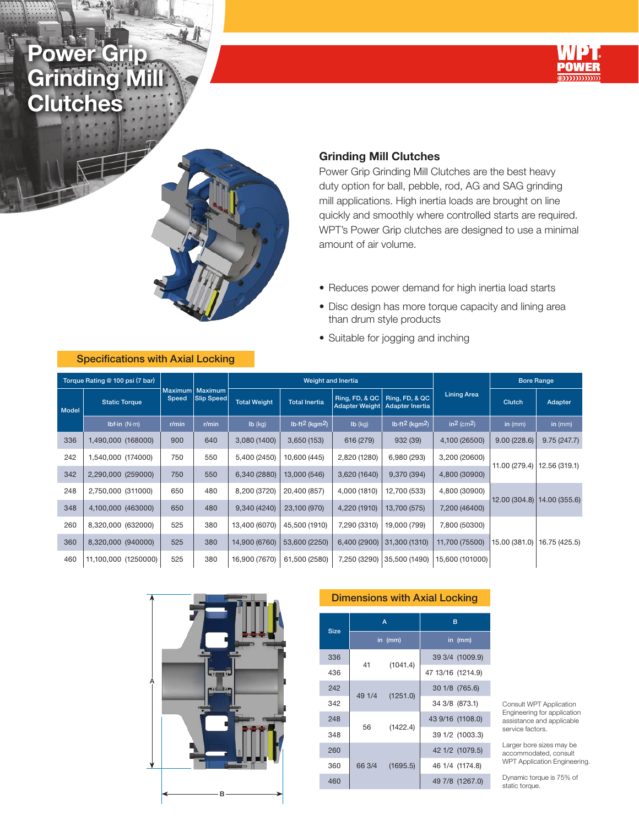Powe Grinding **Clutches** 





### Grinding Mill Clutches

Power Grip Grinding Mill Clutches are the best heavy duty option for ball, pebble, rod, AG and SAG grinding mill applications. High inertia loads are brought on line quickly and smoothly where controlled starts are required. WPT's Power Grip clutches are designed to use a minimal amount of air volume.

- Reduces power demand for high inertia load starts
- Disc design has more torque capacity and lining area than drum style products
- Suitable for jogging and inching

| Torque Rating @ 100 psi (7 bar) |                              |       |                               |                     | Weight and Inertia                     |                                         |                                          | <b>Bore Range</b>                  |               |                               |  |
|---------------------------------|------------------------------|-------|-------------------------------|---------------------|----------------------------------------|-----------------------------------------|------------------------------------------|------------------------------------|---------------|-------------------------------|--|
| Model                           | <b>Static Torque</b>         | Speed | Maximum Maximum<br>Slip Speed | <b>Total Weight</b> | <b>Total Inertia</b>                   | Ring, FD, & QC<br><b>Adapter Weight</b> | Ring, FD, & QC<br><b>Adapter Inertia</b> | <b>Lining Area</b>                 | Clutch        | <b>Adapter</b>                |  |
|                                 | Ibf $\cdot$ in (N $\cdot$ m) | r/min | r/min                         | $Ib$ (kg)           | Ib-ft <sup>2</sup> (kgm <sup>2</sup> ) | $Ib$ (kg)                               | Ib-ft <sup>2</sup> (kgm <sup>2</sup> )   | in <sup>2</sup> (cm <sup>2</sup> ) | in $(mm)$     | in $(mm)$                     |  |
| 336                             | 1,490,000 (168000)           | 900   | 640                           | 3,080 (1400)        | 3,650(153)                             | 616 (279)                               | 932 (39)                                 | 4,100 (26500)                      | 9.00(228.6)   | 9.75(247.7)                   |  |
| 242                             | 1,540,000 (174000)           | 750   | 550                           | 5,400 (2450)        | 10,600 (445)                           | 2,820 (1280)                            | 6,980 (293)                              | 3,200 (20600)                      |               | 12.56 (319.1)                 |  |
| 342                             | 2,290,000 (259000)           | 750   | 550                           | 6,340 (2880)        | 13,000 (546)                           | 3,620 (1640)                            | 9,370 (394)                              | 4,800 (30900)                      | 11.00 (279.4) |                               |  |
| 248                             | 2,750,000 (311000)           | 650   | 480                           | 8,200 (3720)        | 20,400 (857)                           | 4,000 (1810)                            | 12,700 (533)                             | 4,800 (30900)                      |               |                               |  |
| 348                             | 4,100,000 (463000)           | 650   | 480                           | 9,340 (4240)        | 23,100 (970)                           | 4,220 (1910)                            | 13,700 (575)                             | 7,200 (46400)                      |               | 12.00 (304.8)   14.00 (355.6) |  |
| 260                             | 8,320,000 (632000)           | 525   | 380                           | 13,400 (6070)       | 45,500 (1910)                          | 7,290 (3310)                            | 19,000 (799)                             | 7,800 (50300)                      |               |                               |  |
| 360                             | 8,320,000 (940000)           | 525   | 380                           | 14,900 (6760)       | 53,600 (2250)                          | 6,400 (2900)                            | 31,300 (1310)                            | 11,700 (75500)                     | 15.00 (381.0) | 16.75 (425.5)                 |  |
| 460                             | 11,100,000 (1250000)         | 525   | 380                           | 16,900 (7670)       | 61,500 (2580)                          | 7,250 (3290)                            | 35,500 (1490)                            | 15,600 (101000)                    |               |                               |  |



#### Dimensions with Axial Locking

| <b>Size</b> |        | A        | в                 |                  |  |  |  |  |  |  |
|-------------|--------|----------|-------------------|------------------|--|--|--|--|--|--|
|             |        | in (mm)  |                   | in (mm)          |  |  |  |  |  |  |
| 336         | 41     | (1041.4) |                   | 39 3/4 (1009.9)  |  |  |  |  |  |  |
| 436         |        |          | 47 13/16 (1214.9) |                  |  |  |  |  |  |  |
| 242         | 49 1/4 | (1251.0) |                   | 30 1/8 (765.6)   |  |  |  |  |  |  |
| 342         |        |          |                   | 34 3/8 (873.1)   |  |  |  |  |  |  |
| 248         | 56     |          |                   | 43 9/16 (1108.0) |  |  |  |  |  |  |
| 348         |        | (1422.4) |                   | 39 1/2 (1003.3)  |  |  |  |  |  |  |
| 260         |        |          |                   | 42 1/2 (1079.5)  |  |  |  |  |  |  |
| 360         | 66 3/4 | (1695.5) |                   | 46 1/4 (1174.8)  |  |  |  |  |  |  |
| 460         |        |          |                   | 49 7/8 (1267.0)  |  |  |  |  |  |  |

Consult WPT Application Engineering for application assistance and applicable service factors.

Larger bore sizes may be accommodated, consult WPT Application Engineering.

Dynamic torque is 75% of static torque.

#### Specifications with Axial Locking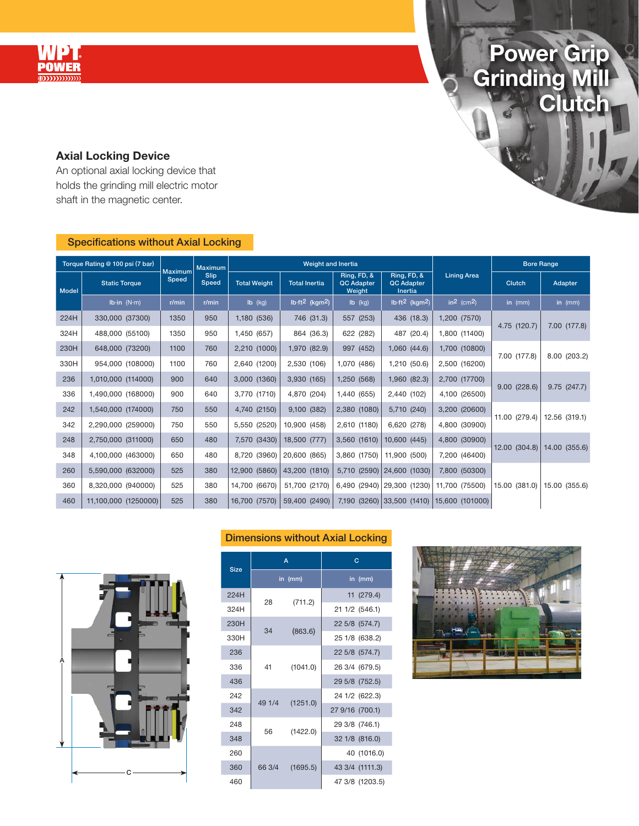

## Power Grip Grinding Mill **Clutch**

ò

## Axial Locking Device

An optional axial locking device that holds the grinding mill electric motor shaft in the magnetic center.

## Specifications without Axial Locking

| Torque Rating @ 100 psi (7 bar) |                             |                                                 | <b>Maximum</b> |                     | Weight and Inertia                     |                                            |                                                    |                            | <b>Bore Range</b> |               |  |
|---------------------------------|-----------------------------|-------------------------------------------------|----------------|---------------------|----------------------------------------|--------------------------------------------|----------------------------------------------------|----------------------------|-------------------|---------------|--|
| <b>Model</b>                    | <b>Static Torque</b>        | <b>Maximum</b><br>Slip<br><b>Speed</b><br>Speed |                | <b>Total Weight</b> | <b>Total Inertia</b>                   | Ring, FD, &<br><b>QC Adapter</b><br>Weight | Ring, FD, &<br><b>QC Adapter</b><br><b>Inertia</b> | <b>Lining Area</b>         | Clutch            | Adapter       |  |
|                                 | Ib $\cdot$ in (N $\cdot$ m) | r/min                                           | r/min          | Ib (kg)             | lb-ft <sup>2</sup> (kgm <sup>2</sup> ) | $Ib$ (kg)                                  | $lb·ft2$ (kgm <sup>2</sup> )                       | $\ln^2$ (cm <sup>2</sup> ) | in $(mm)$         | in $(mm)$     |  |
| 224H                            | 330,000 (37300)             | 1350                                            | 950            | 1,180 (536)         | 746 (31.3)                             | 557 (253)                                  | 436 (18.3)                                         | 1,200 (7570)               | 4.75 (120.7)      |               |  |
| 324H                            | 488,000 (55100)             | 1350                                            | 950            | 1,450 (657)         | 864 (36.3)                             | 622 (282)                                  | 487 (20.4)                                         | 1,800 (11400)              |                   | 7.00 (177.8)  |  |
| 230H                            | 648,000 (73200)             | 1100                                            | 760            | 2,210 (1000)        | 1,970 (82.9)                           | 997 (452)                                  | 1,060 (44.6)                                       | 1,700 (10800)              |                   |               |  |
| 330H                            | 954,000 (108000)            | 1100                                            | 760            | 2,640 (1200)        | 2,530 (106)                            | 1,070 (486)                                | 1,210 (50.6)                                       | 2,500 (16200)              | 7.00 (177.8)      | 8.00 (203.2)  |  |
| 236                             | 1,010,000 (114000)          | 900                                             | 640            | 3,000 (1360)        | 3,930 (165)                            | 1,250 (568)                                | 1,960 (82.3)                                       | 2,700 (17700)              |                   |               |  |
| 336                             | 1,490,000 (168000)          | 900                                             | 640            | 3,770 (1710)        | 4,870 (204)                            | 1,440 (655)                                | 2,440 (102)                                        | 4,100 (26500)              | 9.00(228.6)       | 9.75(247.7)   |  |
| 242                             | 1,540,000 (174000)          | 750                                             | 550            | 4,740 (2150)        | 9,100 (382)                            | 2,380 (1080)                               | 5,710 (240)                                        | 3,200 (20600)              |                   |               |  |
| 342                             | 2,290,000 (259000)          | 750                                             | 550            | 5,550 (2520)        | 10,900 (458)                           | 2,610 (1180)                               | 6,620 (278)                                        | 4,800 (30900)              | 11.00 (279.4)     | 12.56 (319.1) |  |
| 248                             | 2,750,000 (311000)          | 650                                             | 480            | 7,570 (3430)        | 18,500 (777)                           | 3,560 (1610)                               | 10,600 (445)                                       | 4,800 (30900)              |                   |               |  |
| 348                             | 4,100,000 (463000)          | 650                                             | 480            | 8,720 (3960)        | 20,600 (865)                           | 3,860 (1750)                               | 11,900 (500)                                       | 7,200 (46400)              | 12.00 (304.8)     | 14.00 (355.6) |  |
| 260                             | 5,590,000 (632000)          | 525                                             | 380            | 12,900 (5860)       | 43,200 (1810)                          |                                            | 5,710 (2590) 24,600 (1030)                         | 7,800 (50300)              |                   |               |  |
| 360                             | 8,320,000 (940000)          | 525                                             | 380            | 14,700 (6670)       | 51,700 (2170)                          |                                            | 6,490 (2940) 29,300 (1230)                         | 11,700 (75500)             | 15.00 (381.0)     | 15.00 (355.6) |  |
| 460                             | 11,100,000 (1250000)        | 525                                             | 380            | 16,700 (7570)       | 59,400 (2490)                          |                                            | 7,190 (3260) 33,500 (1410)                         | 15,600 (101000)            |                   |               |  |

## Dimensions without Axial Locking



| <b>Size</b> |        | $\overline{A}$ | $\overline{C}$  |  |  |  |  |  |  |  |  |
|-------------|--------|----------------|-----------------|--|--|--|--|--|--|--|--|
|             |        | in (mm)        | in (mm)         |  |  |  |  |  |  |  |  |
| 224H        | 28     |                | 11 (279.4)      |  |  |  |  |  |  |  |  |
| 324H        |        | (711.2)        | 21 1/2 (546.1)  |  |  |  |  |  |  |  |  |
| 230H        | 34     |                | 22 5/8 (574.7)  |  |  |  |  |  |  |  |  |
| 330H        |        | (863.6)        | 25 1/8 (638.2)  |  |  |  |  |  |  |  |  |
| 236         | 41     |                | 22 5/8 (574.7)  |  |  |  |  |  |  |  |  |
| 336         |        | (1041.0)       | 26 3/4 (679.5)  |  |  |  |  |  |  |  |  |
| 436         |        |                | 29 5/8 (752.5)  |  |  |  |  |  |  |  |  |
| 242         | 49 1/4 | (1251.0)       | 24 1/2 (622.3)  |  |  |  |  |  |  |  |  |
| 342         |        |                | 27 9/16 (700.1) |  |  |  |  |  |  |  |  |
| 248         | 56     | (1422.0)       | 29 3/8 (746.1)  |  |  |  |  |  |  |  |  |
| 348         |        |                | 32 1/8 (816.0)  |  |  |  |  |  |  |  |  |
| 260         |        |                | 40 (1016.0)     |  |  |  |  |  |  |  |  |
| 360         | 66 3/4 | (1695.5)       | 43 3/4 (1111.3) |  |  |  |  |  |  |  |  |
| 460         |        |                | 47 3/8 (1203.5) |  |  |  |  |  |  |  |  |